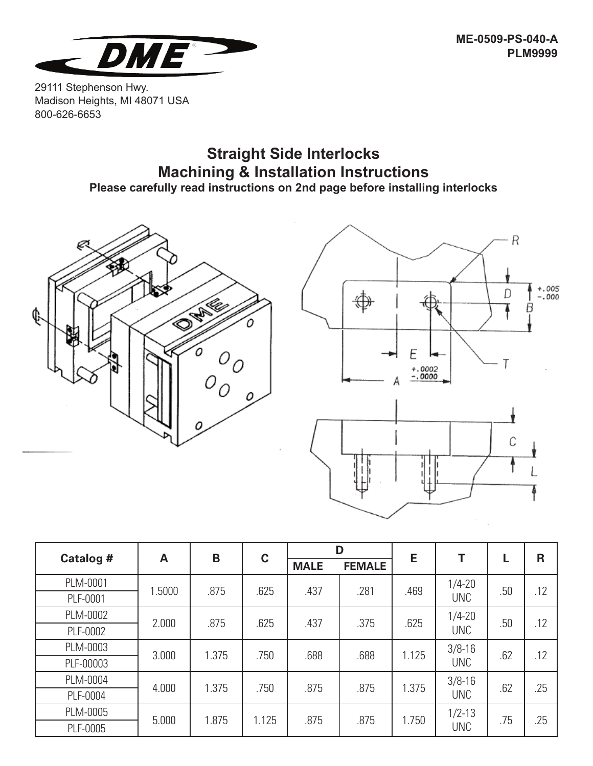

29111 Stephenson Hwy. Madison Heights, MI 48071 USA 800-626-6653

## **Straight Side Interlocks Machining & Installation Instructions Please carefully read instructions on 2nd page before installing interlocks**





| Catalog # | A      | B     | $\mathbf c$ | D           |               | E     |                          |     | $\mathsf{R}$ |
|-----------|--------|-------|-------------|-------------|---------------|-------|--------------------------|-----|--------------|
|           |        |       |             | <b>MALE</b> | <b>FEMALE</b> |       |                          | L   |              |
| PLM-0001  | 1.5000 | .875  | .625        | .437        | .281          | .469  | $1/4 - 20$               | .50 | .12          |
| PLF-0001  |        |       |             |             |               |       | <b>UNC</b>               |     |              |
| PLM-0002  | 2.000  | .875  | .625        | .437        | .375          | .625  | $1/4 - 20$               | .50 | .12          |
| PLF-0002  |        |       |             |             |               |       | <b>UNC</b>               |     |              |
| PLM-0003  | 3.000  | 1.375 | .750        | .688        | .688          | 1.125 | $3/8 - 16$<br><b>UNC</b> | .62 | .12          |
| PLF-00003 |        |       |             |             |               |       |                          |     |              |
| PLM-0004  | 4.000  | 1.375 | .750        | .875        | .875          | 1.375 | $3/8 - 16$               | .62 | .25          |
| PLF-0004  |        |       |             |             |               |       | <b>UNC</b>               |     |              |
| PLM-0005  | 5.000  | 1.875 | 1.125       | .875        | .875          | 1.750 | $1/2 - 13$<br><b>UNC</b> | .75 | .25          |
| PLF-0005  |        |       |             |             |               |       |                          |     |              |